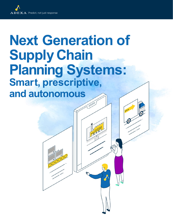# **Next Generation of Supply Chain Planning Systems: Smart, prescriptive, and autonomous**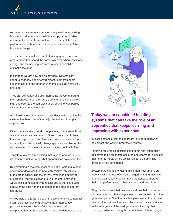As important a role as automation has played in increasing business productivity, automation is simply a predictable and repetitive task. It does not improve or adapt its own performance, as humans do, when various aspects of the business change.

To this end, most of the current planning systems are preprogrammed to respond the same way even when conditions change and the assumptions are no longer as valid as originally assumed.

In contrast, we are now at a point where systems can adapt to changes in their environment, learn from their experiences, and get smarter by themselves the more they are used.

They can self-repair and self-improve as the world around them changes. Thus, they act as autonomous vehicles to plan and operate the complex supply chains of companies without much human interaction.

A high reliance on the users to make decisions, or guide the system, has been one of the major limitations of the past approaches.

Given that with every iteration of planning, there are millions of variables to be considered, billions of versions of plans that can be produced, and thousands of variables which are constantly and dynamically changing, it is impossible for the users to come even close to constructing an optimal plan.

Therefore, almost any decision that is good enough is implemented not knowing what opportunities have been lost.

By performing a few what-if scenarios, the users make poor and inferior decisions that meet only minimal objectives of the organization. The fact is that, even if one deployed hundreds of individuals trying to find the right answer, it would still lead to suboptimal results due to the distributed nature of the data and the immense magnitude of different alternative.

An example of this can be seen in asset-intensive companies such as semiconductor manufacturing or aerospace production where billions of dollars are invested in equipment that are managed by mere spreadsheets leading



# **Today we are capable of building systems that can take the role of an apprentice that keeps learning and improving with experience.**

to losses of tens of millions of dollars in underutilization of equipment and work in progress inventory.

Planning requires all possible constraints and, often fuzzy, objectives to be taken into account; and search for a solution that not only meets all the objectives but also optimally satisfies all the constraints.

Systems are capable of doing this in near real-time. More recently, with the use of AI search algorithms and machine learning techniques, they can have the ability to improve their own performance as they are deployed over time.

They can learn from their mistakes and use their successes to become better and better in planning as well as executing the generated plans. Over the past few years we, at Adexa, have been working on new trends and factors that have contributed to the emergence of the next generation of supply chain planning systems including those depicted on the next page.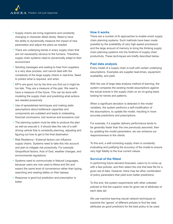- Supply chains are living organisms and constantly changing in character albeit slowly. Need to have the ability to dynamically measure the impact of new parameters and adjust the plans as needed
- There are underlying trends in every supply chain that are not necessarily obvious to the humans. Therefore, supply chain systems need to dynamically adapt to their environment
- Sending messages and waiting to hear from suppliers is a very slow process; and cannot deal with the complexity of the large supply chains in real-time. Need to predict what is required, and when
- KPI's are good, but by the time you find out it might be too late. They are a measure of the past. We need to have a measure of the future. This can be done with modeling the supply chain and predicting what actions are needed proactively
- Use of spreadsheet techniques and making static assumptions about bottleneck capacities and components are outdated and leads to misleading financial conclusions, lost revenue and excessive cost
- The planning system must be able to produce the plan as well as execute it. It should take the role of a selfdriving vehicle that is constantly planning, adjusting and figuring out how to get to the final destination
- Risk Resiliency—External factors can influence supply chains. Systems need to take this into account and plan to mitigate risk proactively. For example: Geopolitical factors, Acts of God, weather changes, and environmental regulations
- Systems need to communicate in Natural Languages, because users are now used to Alexa and Siri and expect the same level of convenience rather than typing, searching and reading tables on their laptops
- Response is good but prediction and prescription is better

## **How it works**

There are a number of AI approaches to enable smart supply chain planning systems. Such methods have been made possible by the availability of very high-speed processors and the large amount of memory to bring the thinking supply chain planning systems into the forefront of supply chain productivity. These techniques are briefly described below.

#### **Past data analysis**

Every model of a supply chain is built with certain underlying assumptions. Examples are supplier lead-times, equipment availability, and yield.

With the use of large data analysis method of learning, the system compares the existing model assumptions against the actual events in the supply chain on an on-going basis looking for trends and patterns.

When a significant deviation is detected in the model variables, the system performs a self-modification of the assumptions, to update the model, resulting in more accurate predictions and prescriptions.

For example, if a supplier delivery performance tends to be generally faster than the one previously assumed, then by updating the model parameters, we can enhance our responsiveness to the clients.

To this end, a self-correcting supply chain is constantly evaluating and justifying the accuracy of the model to ensure very high fidelity to the true current values.

## **Survival of the fittest**

In performing future demand forecasts, users try to come up with a few policies, and then select the one that best fits for a given set of data. However, there may be other combination of policy parameters that yield even better predictions.

To this end, the system experiments with other untested policies to find the superior ones for given set of attributes of each data set.

We use machine learning neural network techniques to examine the "genes" of different policies to find the data attributes as good predictors for the best policy to be used.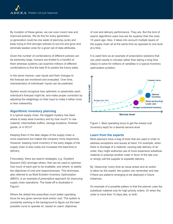By mutation of these genes, we can even invent new and improved policies. We do this for every generation (a generation could be one week of planning cycle) and keep trying to find stronger policies to survive and grow and eliminate weaker ones for a given set of data attributes.

Given the number of combinations of different policies can be extremely large, humans are limited to a handful of them whereas systems can examine millions of different combinations to find the best fit to predict the future sales.

In the same manner, user inputs and their changes to the forecast are monitored and evaluated. Over time, characteristics of individuals' inputs can be predicted.

System would recognize how optimistic or pessimistic each individual's forecast might be; and make proper correction by adjusting the weightings on their input to make it either more or less noteworthy.

#### **Algorithmic inventory planning**

In a typical supply chain, the biggest mystery has been where to keep what inventory and by how much? In raw material, intermediate buffers, storage locations, finished goods, or in DC's?

Keeping them in the later stages of the supply chain is more expensive but makes the company more responsive. However, keeping more inventory in the early stages of the supply chain is less costly but increases the lead-time to delivery.

Fortunately, there are search strategies, e.g. Gradient Descent (GD) amongst others, that can be used to optimize how much of each part to be available, and where, to satisfy the objectives of cost and responsiveness. This technique, also referred to as Multi Echelon Inventory Optimization (MEIO), is an example of prescriptive approach for improving supply chain operations. The trade-off is illustrated in Figure1.

Where the dotted line prescribes much better operating locus for any given service level and/or cost. The system is constantly working in the background to figure out the best possible curve to operate on, based on users' objectives

of cost and delivery performance. They are. But the kind of search algorithms used now are far superior than the ones 10 years ago. Also, it takes into account multiple layers of the supply chain all at the same time as opposed to one level at a time.

It is used here as an example of prescriptive solutions that can yield results in minutes rather than taking a long time (days) to solve for millions of variables in a typical inventory optimization problem.



Figure 1- Best operating locus to get the lowest cost (inventory kept) for a desired service level

#### **Learn from the experts**

Most planners have a bag of tools that are used in order to address exceptions and issues at hand. For example, when there is shortage of a material, causing late delivery of an order, they might authorize use of more expensive substitute material or preempt another order in favor of the late one, or simply call the supplier to expedite delivery.

By "observing" every time an issue arises and an action is taken by the expert, the system can remember and see if there are patterns emerging to be deployed in future instances.

An example of a possible pattern is that the planner uses the substitute material only for high priority orders. Or when the order is more than 10 days late, or both.